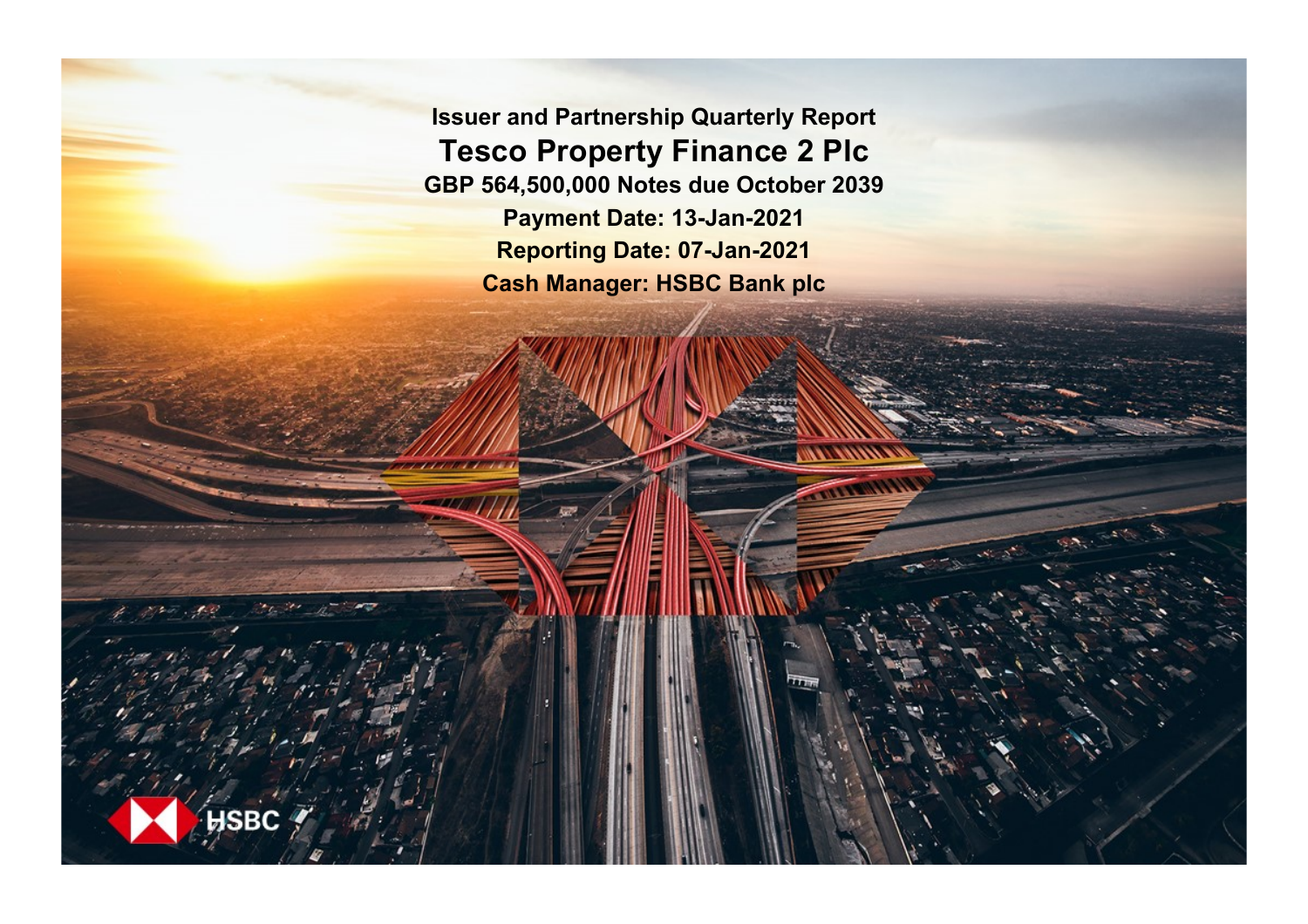**Issuer and Partnership Quarterly Report Tesco Property Finance 2 Plc GBP 564,500,000 Notes due October 2039 Payment Date: 13-Jan-2021 Reporting Date: 07-Jan-2021 Cash Manager: HSBC Bank plc**

**ISBC**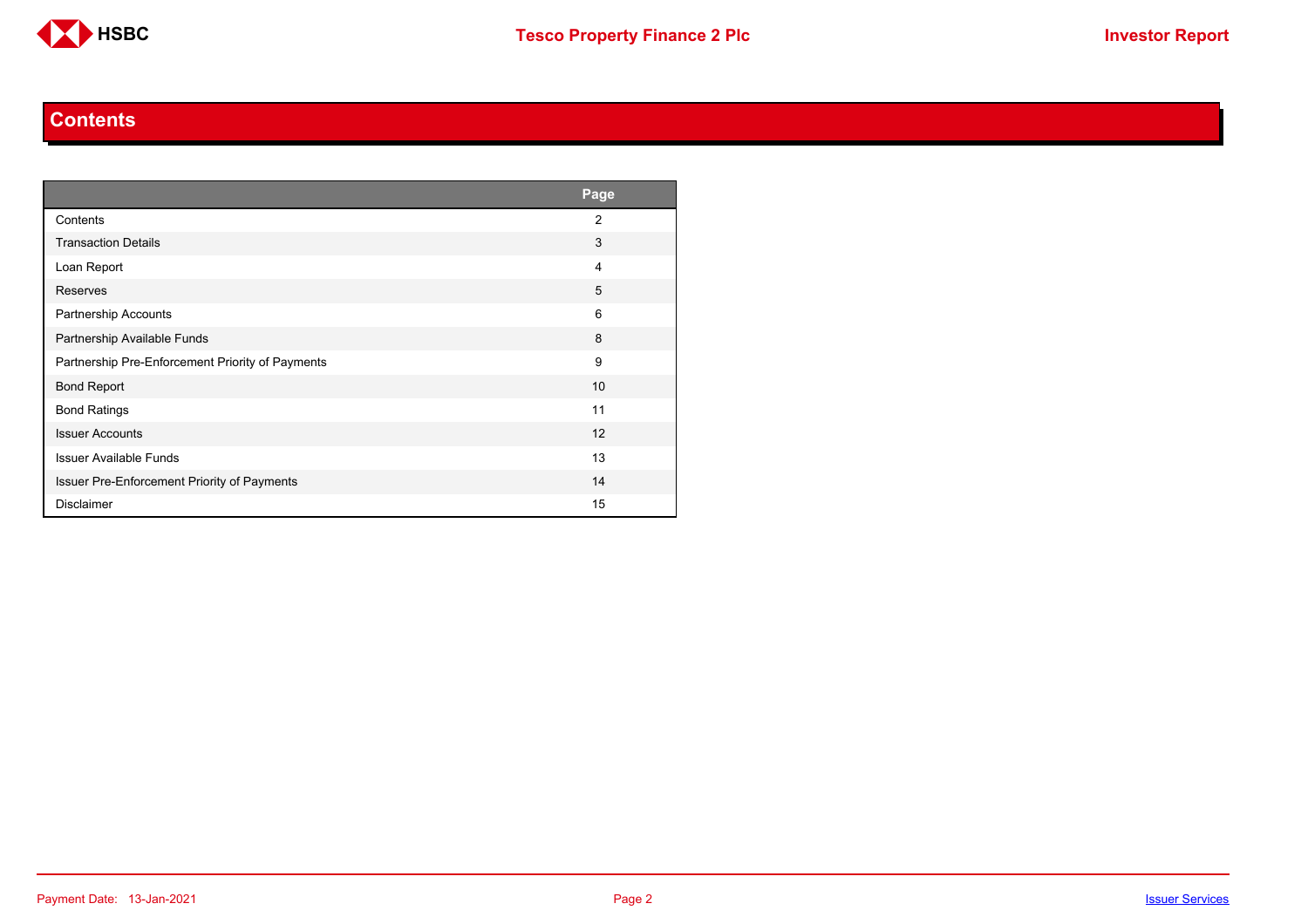

#### **Contents**

<span id="page-1-0"></span>

|                                                  | Page           |
|--------------------------------------------------|----------------|
| Contents                                         | $\overline{2}$ |
| <b>Transaction Details</b>                       | 3              |
| Loan Report                                      | 4              |
| Reserves                                         | 5              |
| <b>Partnership Accounts</b>                      | 6              |
| Partnership Available Funds                      | 8              |
| Partnership Pre-Enforcement Priority of Payments | 9              |
| <b>Bond Report</b>                               | 10             |
| <b>Bond Ratings</b>                              | 11             |
| <b>Issuer Accounts</b>                           | 12             |
| <b>Issuer Available Funds</b>                    | 13             |
| Issuer Pre-Enforcement Priority of Payments      | 14             |
| <b>Disclaimer</b>                                | 15             |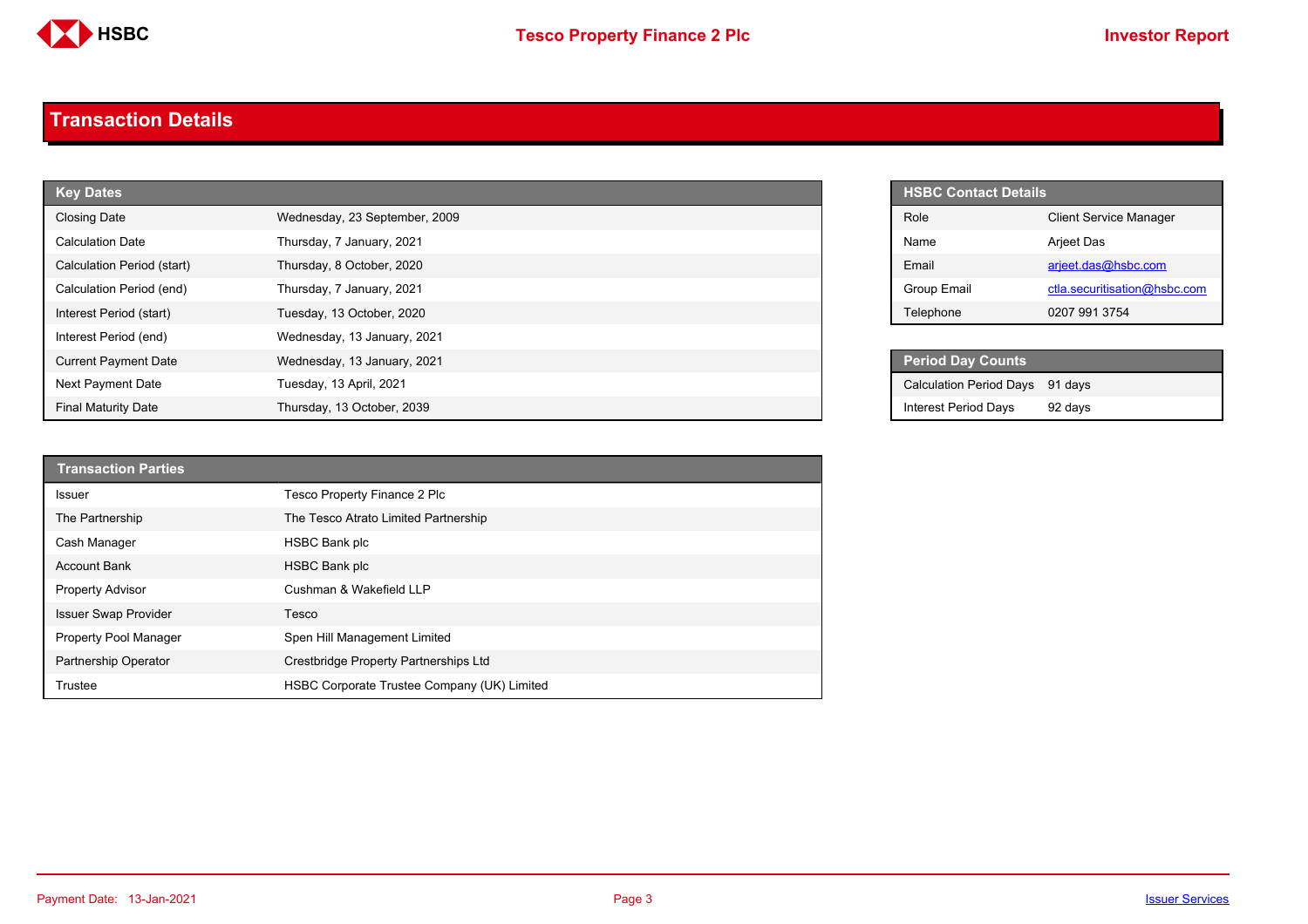

#### <span id="page-2-0"></span>**Transaction Details**

| <b>Key Dates</b>            |                               |  | HSBC Contact Details           |
|-----------------------------|-------------------------------|--|--------------------------------|
| <b>Closing Date</b>         | Wednesday, 23 September, 2009 |  | Role                           |
| <b>Calculation Date</b>     | Thursday, 7 January, 2021     |  | Name                           |
| Calculation Period (start)  | Thursday, 8 October, 2020     |  | Email                          |
| Calculation Period (end)    | Thursday, 7 January, 2021     |  | Group Email                    |
| Interest Period (start)     | Tuesday, 13 October, 2020     |  | Telephone                      |
| Interest Period (end)       | Wednesday, 13 January, 2021   |  |                                |
| <b>Current Payment Date</b> | Wednesday, 13 January, 2021   |  | <b>Period Day Counts</b>       |
| Next Payment Date           | Tuesday, 13 April, 2021       |  | <b>Calculation Period Days</b> |
| <b>Final Maturity Date</b>  | Thursday, 13 October, 2039    |  | <b>Interest Period Days</b>    |

| <b>Transaction Parties</b>  |                                             |
|-----------------------------|---------------------------------------------|
| <b>Issuer</b>               | Tesco Property Finance 2 Plc                |
| The Partnership             | The Tesco Atrato Limited Partnership        |
| Cash Manager                | <b>HSBC Bank plc</b>                        |
| <b>Account Bank</b>         | HSBC Bank plc                               |
| <b>Property Advisor</b>     | Cushman & Wakefield LLP                     |
| <b>Issuer Swap Provider</b> | Tesco                                       |
| Property Pool Manager       | Spen Hill Management Limited                |
| Partnership Operator        | Crestbridge Property Partnerships Ltd       |
| Trustee                     | HSBC Corporate Trustee Company (UK) Limited |

| <b>HSBC Contact Details</b> |                               |
|-----------------------------|-------------------------------|
| Role                        | <b>Client Service Manager</b> |
| Name                        | <b>Arjeet Das</b>             |
| Fmail                       | arjeet.das@hsbc.com           |
| Group Email                 | ctla.securitisation@hsbc.com  |
| Telephone                   | 0207 991 3754                 |

| <b>Period Day Counts</b>        |         |
|---------------------------------|---------|
| Calculation Period Days 91 days |         |
| <b>Interest Period Days</b>     | 92 days |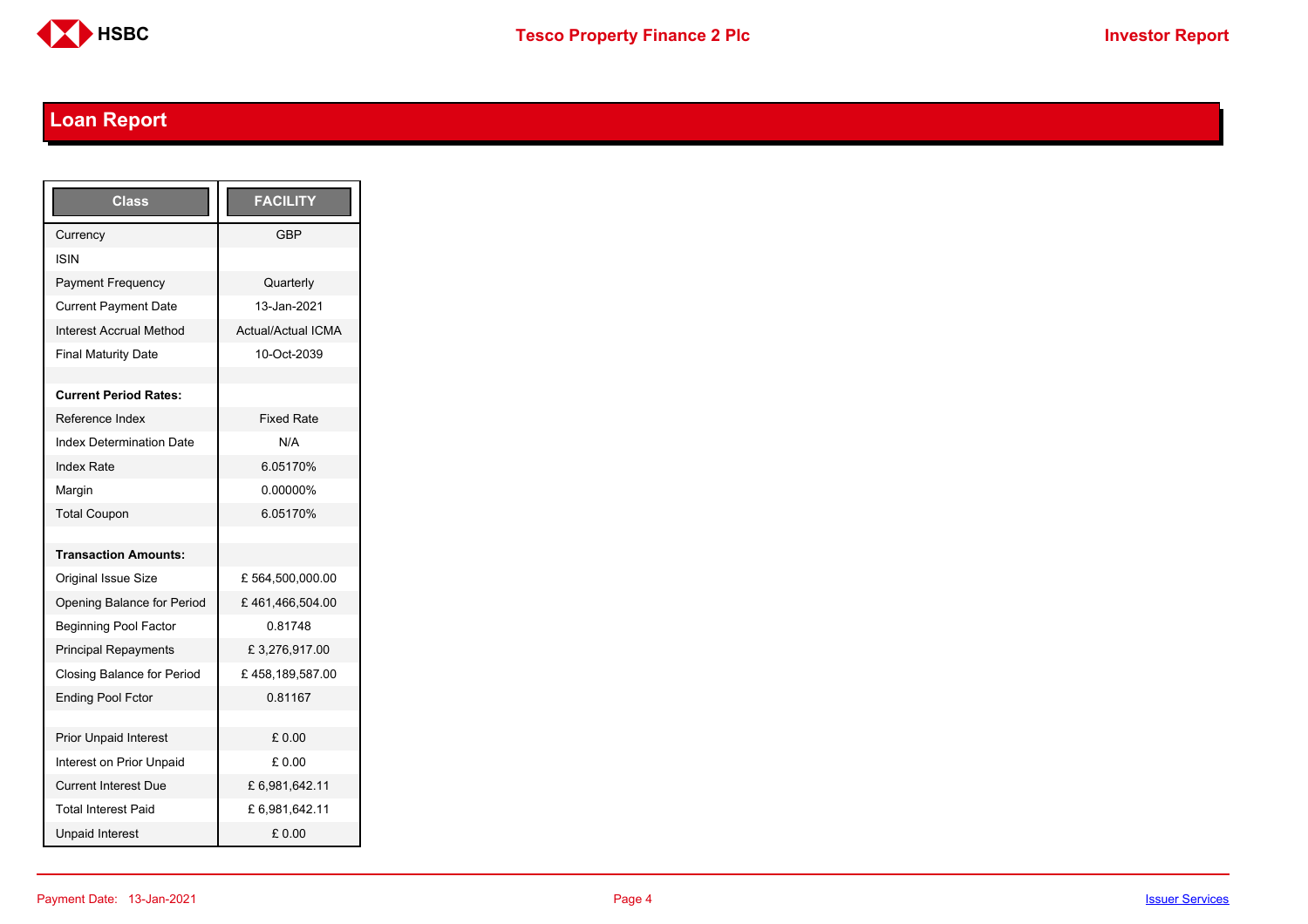

# <span id="page-3-0"></span>**Loan Report**

| <b>Class</b>                      | <b>FACILITY</b>           |
|-----------------------------------|---------------------------|
| Currency                          | GBP                       |
| ISIN                              |                           |
| <b>Payment Frequency</b>          | Quarterly                 |
| <b>Current Payment Date</b>       | 13-Jan-2021               |
| <b>Interest Accrual Method</b>    | <b>Actual/Actual ICMA</b> |
| <b>Final Maturity Date</b>        | 10-Oct-2039               |
|                                   |                           |
| <b>Current Period Rates:</b>      |                           |
| Reference Index                   | <b>Fixed Rate</b>         |
| <b>Index Determination Date</b>   | N/A                       |
| <b>Index Rate</b>                 | 6.05170%                  |
| Margin                            | 0.00000%                  |
| <b>Total Coupon</b>               | 6.05170%                  |
|                                   |                           |
| <b>Transaction Amounts:</b>       |                           |
| <b>Original Issue Size</b>        | £564,500,000.00           |
| Opening Balance for Period        | £461,466,504.00           |
| <b>Beginning Pool Factor</b>      | 0.81748                   |
| <b>Principal Repayments</b>       | £3,276,917.00             |
| <b>Closing Balance for Period</b> | £458,189,587.00           |
| <b>Ending Pool Fctor</b>          | 0.81167                   |
|                                   |                           |
| <b>Prior Unpaid Interest</b>      | £0.00                     |
| Interest on Prior Unpaid          | £ 0.00                    |
| <b>Current Interest Due</b>       | £6,981,642.11             |
| <b>Total Interest Paid</b>        | £6,981,642.11             |
| <b>Unpaid Interest</b>            | £0.00                     |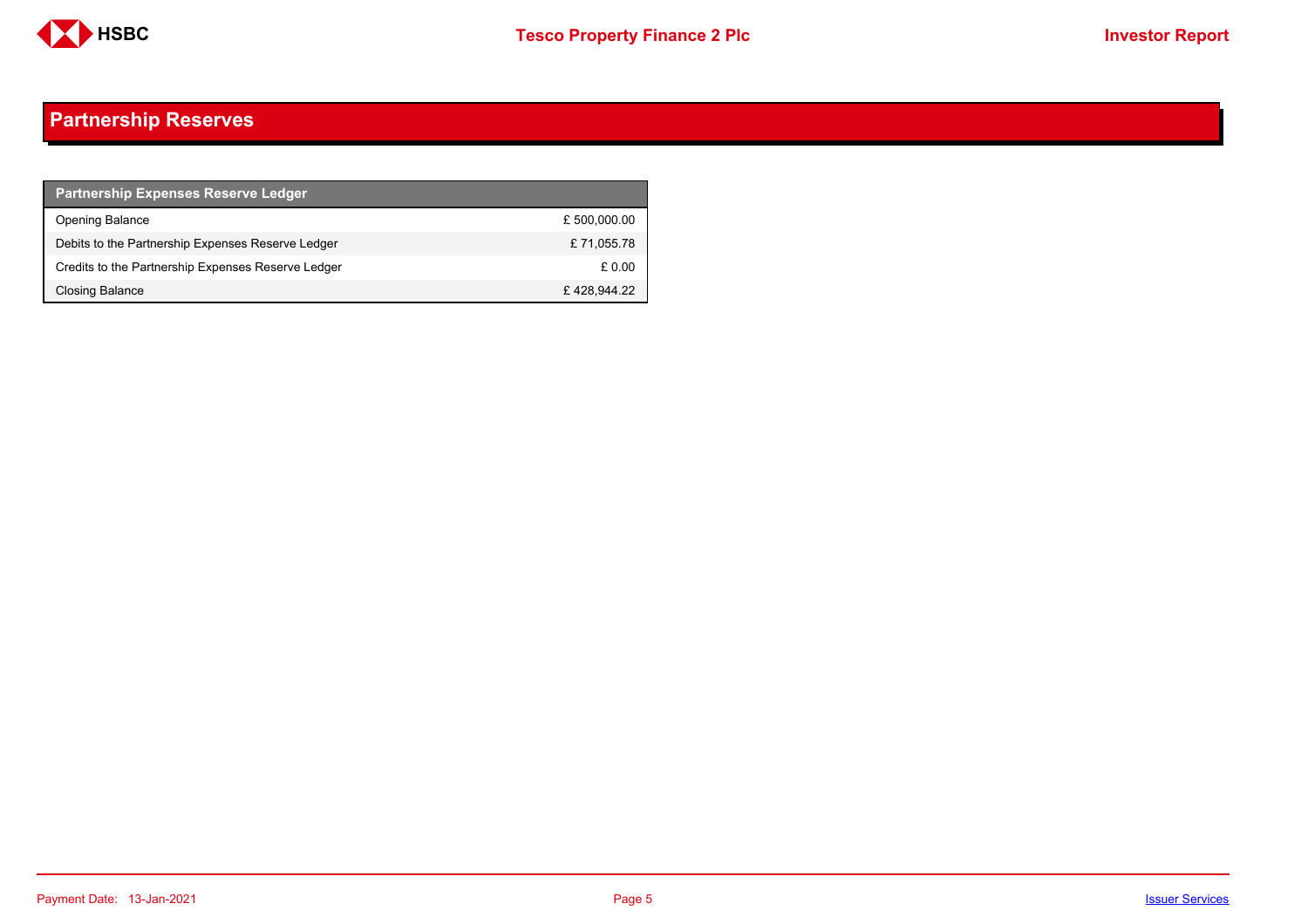

## <span id="page-4-0"></span>**Partnership Reserves**

| <b>Partnership Expenses Reserve Ledger</b>         |              |
|----------------------------------------------------|--------------|
| <b>Opening Balance</b>                             | £ 500,000.00 |
| Debits to the Partnership Expenses Reserve Ledger  | £71,055.78   |
| Credits to the Partnership Expenses Reserve Ledger | £ 0.00       |
| Closing Balance                                    | £428.944.22  |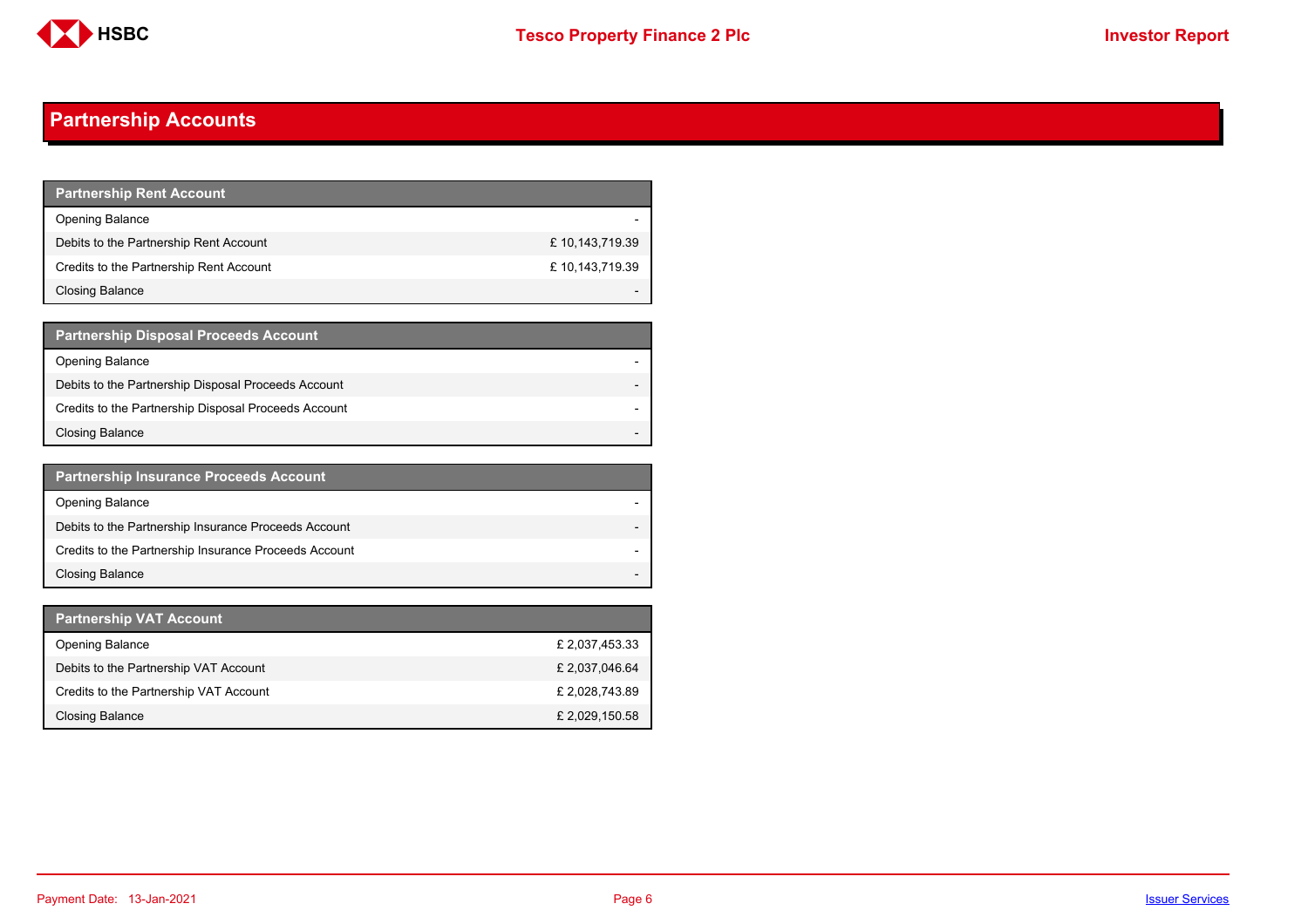

## <span id="page-5-0"></span>**Partnership Accounts**

| Partnership Rent Ac <u>count</u>        |                |
|-----------------------------------------|----------------|
| <b>Opening Balance</b>                  |                |
| Debits to the Partnership Rent Account  | £10,143,719.39 |
| Credits to the Partnership Rent Account | £10,143,719.39 |
| Closing Balance                         |                |

| <b>Partnership Disposal Proceeds Account</b>         |  |
|------------------------------------------------------|--|
| <b>Opening Balance</b>                               |  |
| Debits to the Partnership Disposal Proceeds Account  |  |
| Credits to the Partnership Disposal Proceeds Account |  |
| Closing Balance                                      |  |

| <b>Partnership Insurance Proceeds Account</b>         |  |
|-------------------------------------------------------|--|
| <b>Opening Balance</b>                                |  |
| Debits to the Partnership Insurance Proceeds Account  |  |
| Credits to the Partnership Insurance Proceeds Account |  |
| <b>Closing Balance</b>                                |  |

| <b>Partnership VAT Account</b>         |                |
|----------------------------------------|----------------|
| <b>Opening Balance</b>                 | £ 2,037,453.33 |
| Debits to the Partnership VAT Account  | £ 2,037,046.64 |
| Credits to the Partnership VAT Account | £ 2,028,743.89 |
| Closing Balance                        | £ 2,029,150.58 |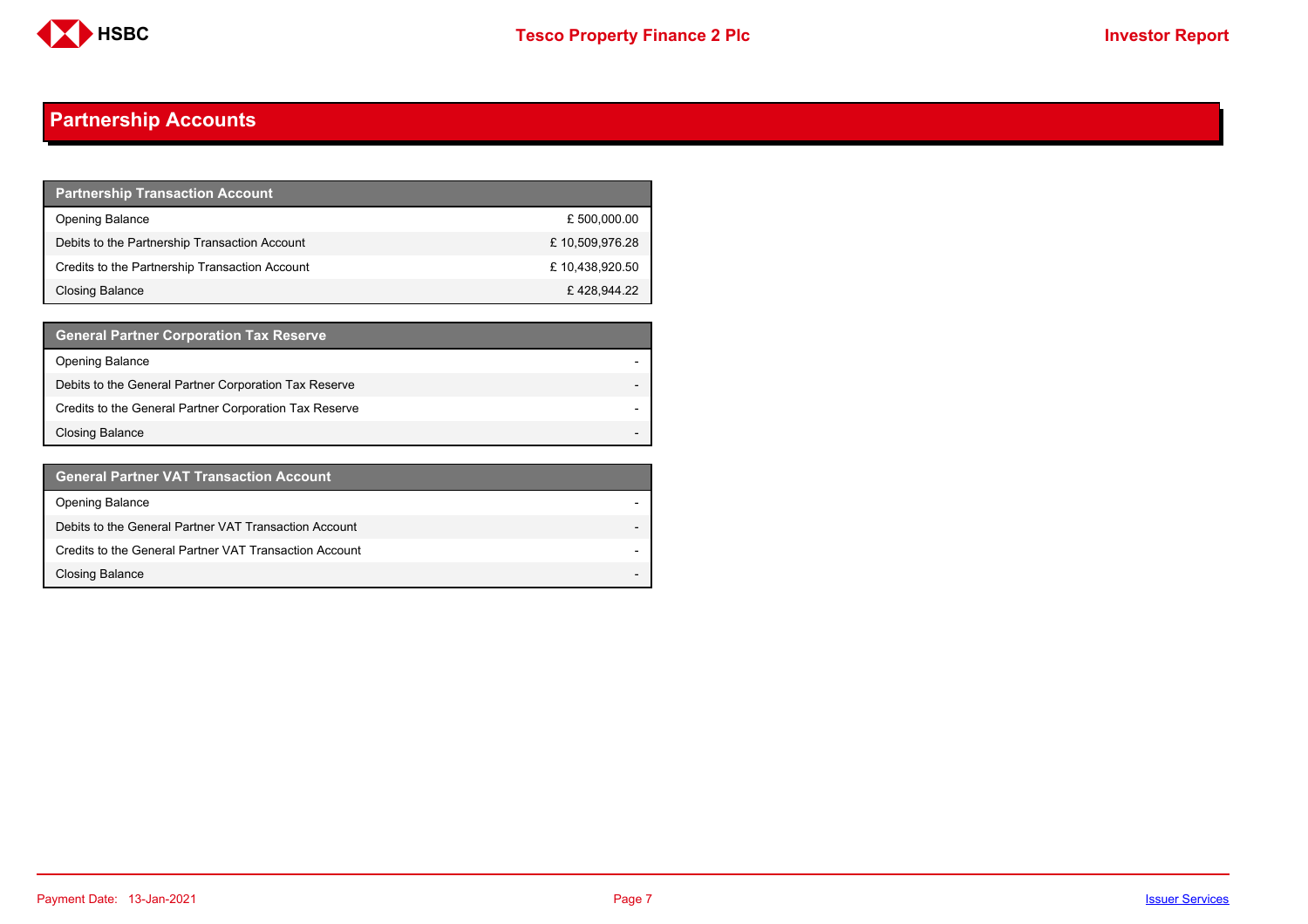

## **Partnership Accounts**

| <b>Partnership Transaction Account</b>         |                |
|------------------------------------------------|----------------|
| <b>Opening Balance</b>                         | £ 500,000.00   |
| Debits to the Partnership Transaction Account  | £10,509,976.28 |
| Credits to the Partnership Transaction Account | £10,438,920.50 |
| Closing Balance                                | £428,944.22    |

| <b>General Partner Corporation Tax Reserve</b>         |  |
|--------------------------------------------------------|--|
| <b>Opening Balance</b>                                 |  |
| Debits to the General Partner Corporation Tax Reserve  |  |
| Credits to the General Partner Corporation Tax Reserve |  |
| <b>Closing Balance</b>                                 |  |

| <b>General Partner VAT Transaction Account</b>         |                          |
|--------------------------------------------------------|--------------------------|
| <b>Opening Balance</b>                                 |                          |
| Debits to the General Partner VAT Transaction Account  |                          |
| Credits to the General Partner VAT Transaction Account |                          |
| <b>Closing Balance</b>                                 | $\overline{\phantom{0}}$ |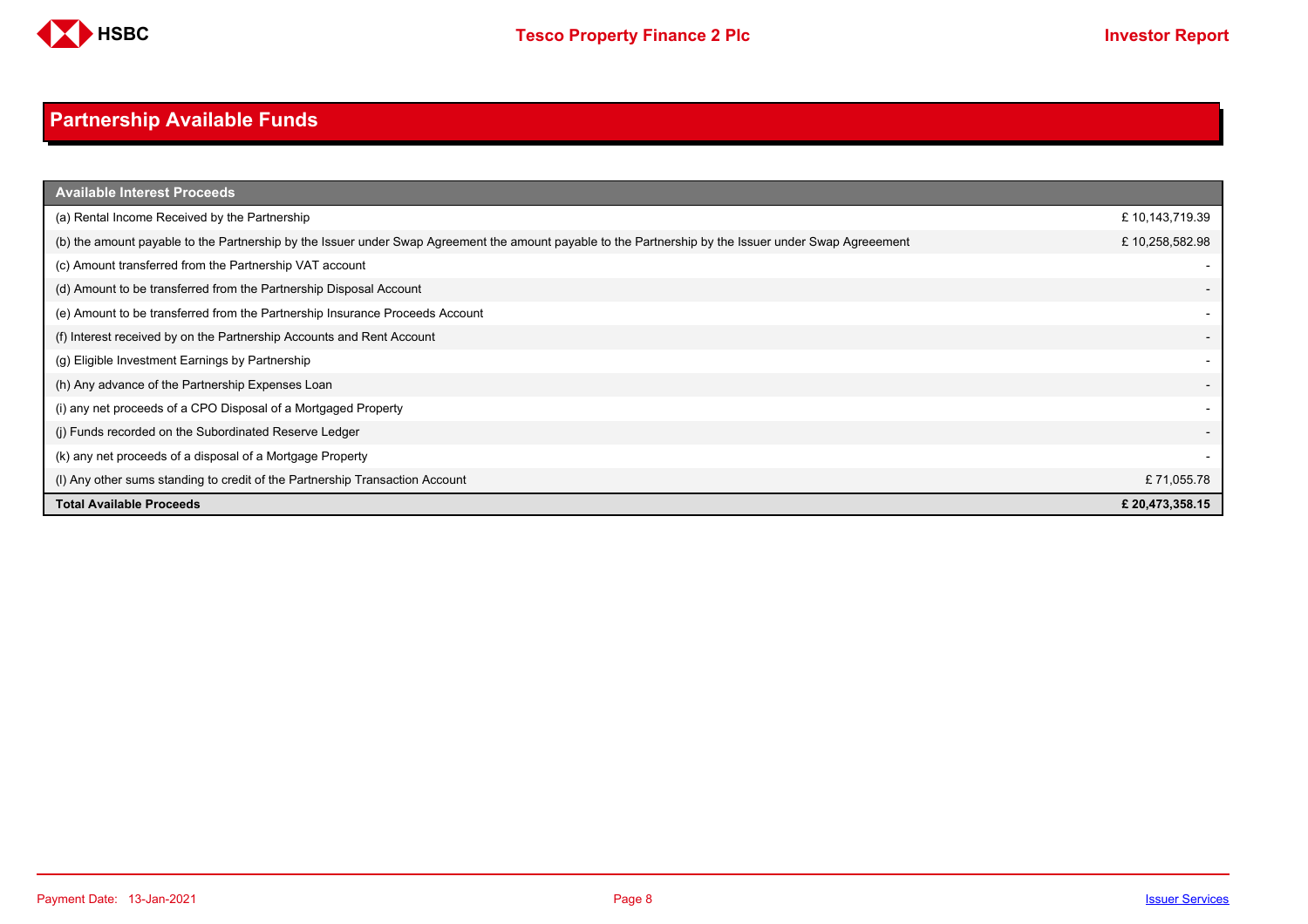

# <span id="page-7-0"></span>**Partnership Available Funds**

| <b>Available Interest Proceeds</b>                                                                                                                     |                          |
|--------------------------------------------------------------------------------------------------------------------------------------------------------|--------------------------|
| (a) Rental Income Received by the Partnership                                                                                                          | £ 10,143,719.39          |
| (b) the amount payable to the Partnership by the Issuer under Swap Agreement the amount payable to the Partnership by the Issuer under Swap Agreeement | £10,258,582.98           |
| (c) Amount transferred from the Partnership VAT account                                                                                                |                          |
| (d) Amount to be transferred from the Partnership Disposal Account                                                                                     |                          |
| (e) Amount to be transferred from the Partnership Insurance Proceeds Account                                                                           |                          |
| (f) Interest received by on the Partnership Accounts and Rent Account                                                                                  |                          |
| (g) Eligible Investment Earnings by Partnership                                                                                                        |                          |
| (h) Any advance of the Partnership Expenses Loan                                                                                                       | $\overline{\phantom{a}}$ |
| (i) any net proceeds of a CPO Disposal of a Mortgaged Property                                                                                         |                          |
| (i) Funds recorded on the Subordinated Reserve Ledger                                                                                                  |                          |
| (k) any net proceeds of a disposal of a Mortgage Property                                                                                              |                          |
| (I) Any other sums standing to credit of the Partnership Transaction Account                                                                           | £71,055.78               |
| <b>Total Available Proceeds</b>                                                                                                                        | £ 20,473,358.15          |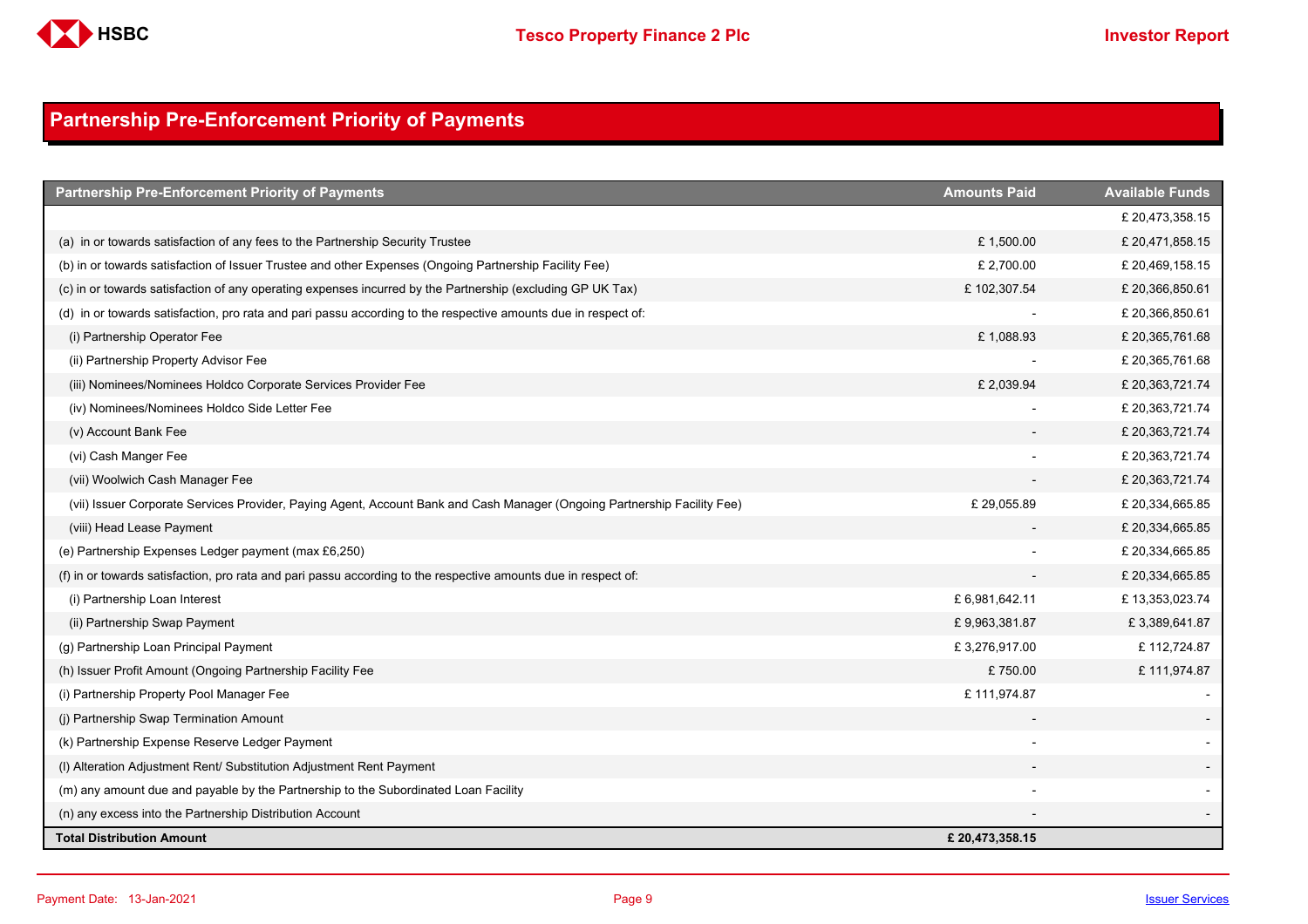

## <span id="page-8-0"></span>**Partnership Pre-Enforcement Priority of Payments**

| <b>Partnership Pre-Enforcement Priority of Payments</b>                                                                  | <b>Amounts Paid</b> | <b>Available Funds</b> |
|--------------------------------------------------------------------------------------------------------------------------|---------------------|------------------------|
|                                                                                                                          |                     | £ 20,473,358.15        |
| (a) in or towards satisfaction of any fees to the Partnership Security Trustee                                           | £1,500.00           | £ 20,471,858.15        |
| (b) in or towards satisfaction of Issuer Trustee and other Expenses (Ongoing Partnership Facility Fee)                   | £ 2,700.00          | £ 20,469,158.15        |
| (c) in or towards satisfaction of any operating expenses incurred by the Partnership (excluding GP UK Tax)               | £102,307.54         | £ 20,366,850.61        |
| (d) in or towards satisfaction, pro rata and pari passu according to the respective amounts due in respect of:           |                     | £20,366,850.61         |
| (i) Partnership Operator Fee                                                                                             | £1,088.93           | £ 20,365,761.68        |
| (ii) Partnership Property Advisor Fee                                                                                    |                     | £ 20,365,761.68        |
| (iii) Nominees/Nominees Holdco Corporate Services Provider Fee                                                           | £ 2,039.94          | £ 20,363,721.74        |
| (iv) Nominees/Nominees Holdco Side Letter Fee                                                                            |                     | £ 20,363,721.74        |
| (v) Account Bank Fee                                                                                                     |                     | £ 20,363,721.74        |
| (vi) Cash Manger Fee                                                                                                     |                     | £ 20,363,721.74        |
| (vii) Woolwich Cash Manager Fee                                                                                          |                     | £ 20,363,721.74        |
| (vii) Issuer Corporate Services Provider, Paying Agent, Account Bank and Cash Manager (Ongoing Partnership Facility Fee) | £29,055.89          | £ 20,334,665.85        |
| (viii) Head Lease Payment                                                                                                |                     | £ 20,334,665.85        |
| (e) Partnership Expenses Ledger payment (max £6,250)                                                                     |                     | £ 20,334,665.85        |
| (f) in or towards satisfaction, pro rata and pari passu according to the respective amounts due in respect of:           |                     | £ 20,334,665.85        |
| (i) Partnership Loan Interest                                                                                            | £6,981,642.11       | £13,353,023.74         |
| (ii) Partnership Swap Payment                                                                                            | £9,963,381.87       | £3,389,641.87          |
| (g) Partnership Loan Principal Payment                                                                                   | £3,276,917.00       | £112,724.87            |
| (h) Issuer Profit Amount (Ongoing Partnership Facility Fee                                                               | £750.00             | £111,974.87            |
| (i) Partnership Property Pool Manager Fee                                                                                | £111,974.87         |                        |
| (j) Partnership Swap Termination Amount                                                                                  |                     |                        |
| (k) Partnership Expense Reserve Ledger Payment                                                                           |                     |                        |
| (I) Alteration Adjustment Rent/ Substitution Adjustment Rent Payment                                                     |                     |                        |
| (m) any amount due and payable by the Partnership to the Subordinated Loan Facility                                      |                     |                        |
| (n) any excess into the Partnership Distribution Account                                                                 |                     |                        |
| <b>Total Distribution Amount</b>                                                                                         | £20,473,358.15      |                        |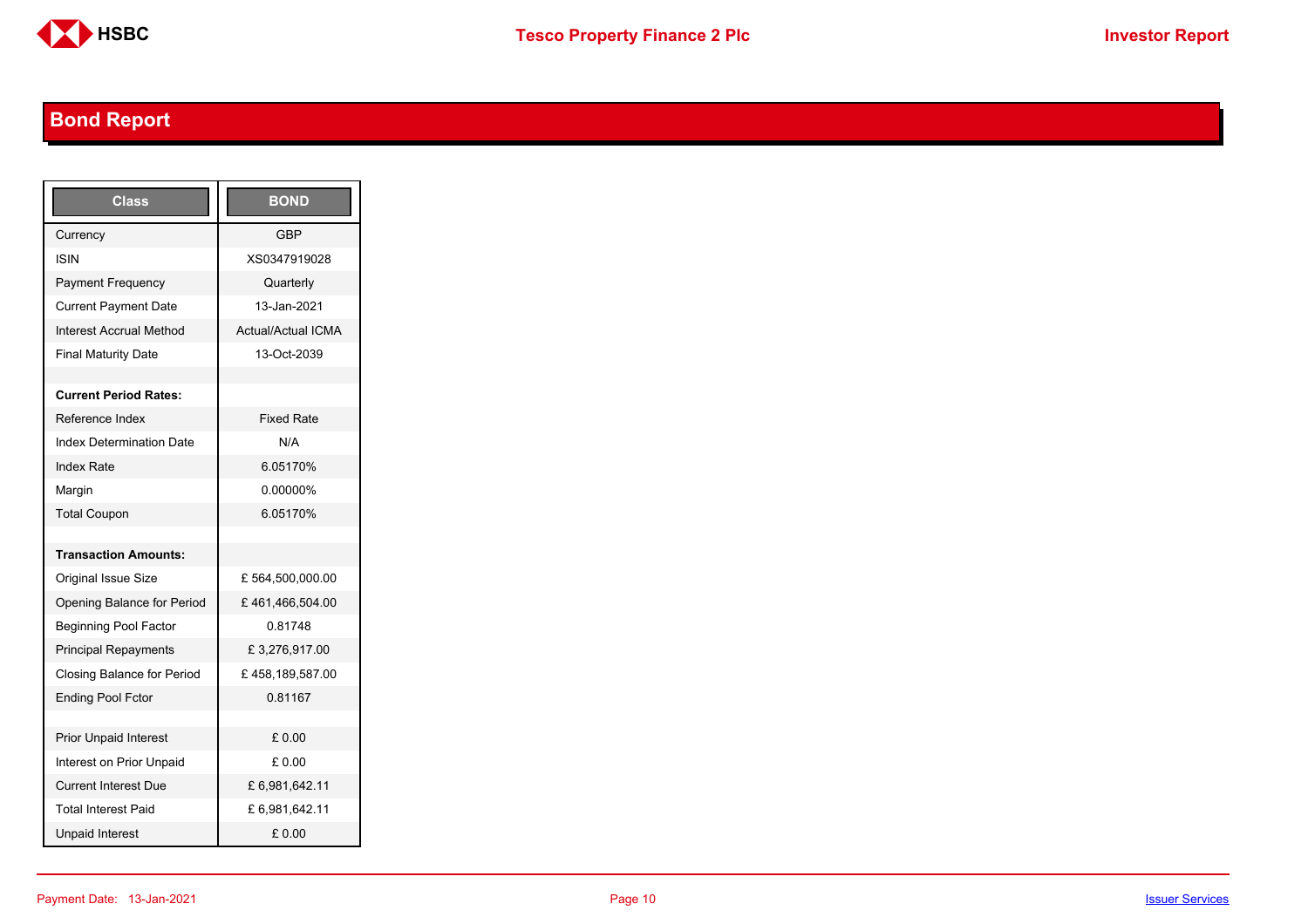

# <span id="page-9-0"></span>**Bond Report**

| <b>Class</b>                      | <b>BOND</b>               |
|-----------------------------------|---------------------------|
| Currency                          | <b>GBP</b>                |
| ISIN                              | XS0347919028              |
| Payment Frequency                 | Quarterly                 |
| <b>Current Payment Date</b>       | 13-Jan-2021               |
| <b>Interest Accrual Method</b>    | <b>Actual/Actual ICMA</b> |
| <b>Final Maturity Date</b>        | 13-Oct-2039               |
|                                   |                           |
| <b>Current Period Rates:</b>      |                           |
| Reference Index                   | <b>Fixed Rate</b>         |
| <b>Index Determination Date</b>   | N/A                       |
| <b>Index Rate</b>                 | 6.05170%                  |
| Margin                            | 0.00000%                  |
| <b>Total Coupon</b>               | 6.05170%                  |
|                                   |                           |
| <b>Transaction Amounts:</b>       |                           |
| <b>Original Issue Size</b>        | £564,500,000.00           |
| Opening Balance for Period        | £461,466,504.00           |
| <b>Beginning Pool Factor</b>      | 081748                    |
| <b>Principal Repayments</b>       | £3,276,917.00             |
| <b>Closing Balance for Period</b> | £458,189,587.00           |
| <b>Ending Pool Fctor</b>          | 0.81167                   |
|                                   |                           |
| <b>Prior Unpaid Interest</b>      | £0.00                     |
| Interest on Prior Unpaid          | £ 0.00                    |
| <b>Current Interest Due</b>       | £6,981,642.11             |
| <b>Total Interest Paid</b>        | £6,981,642.11             |
| <b>Unpaid Interest</b>            | £0.00                     |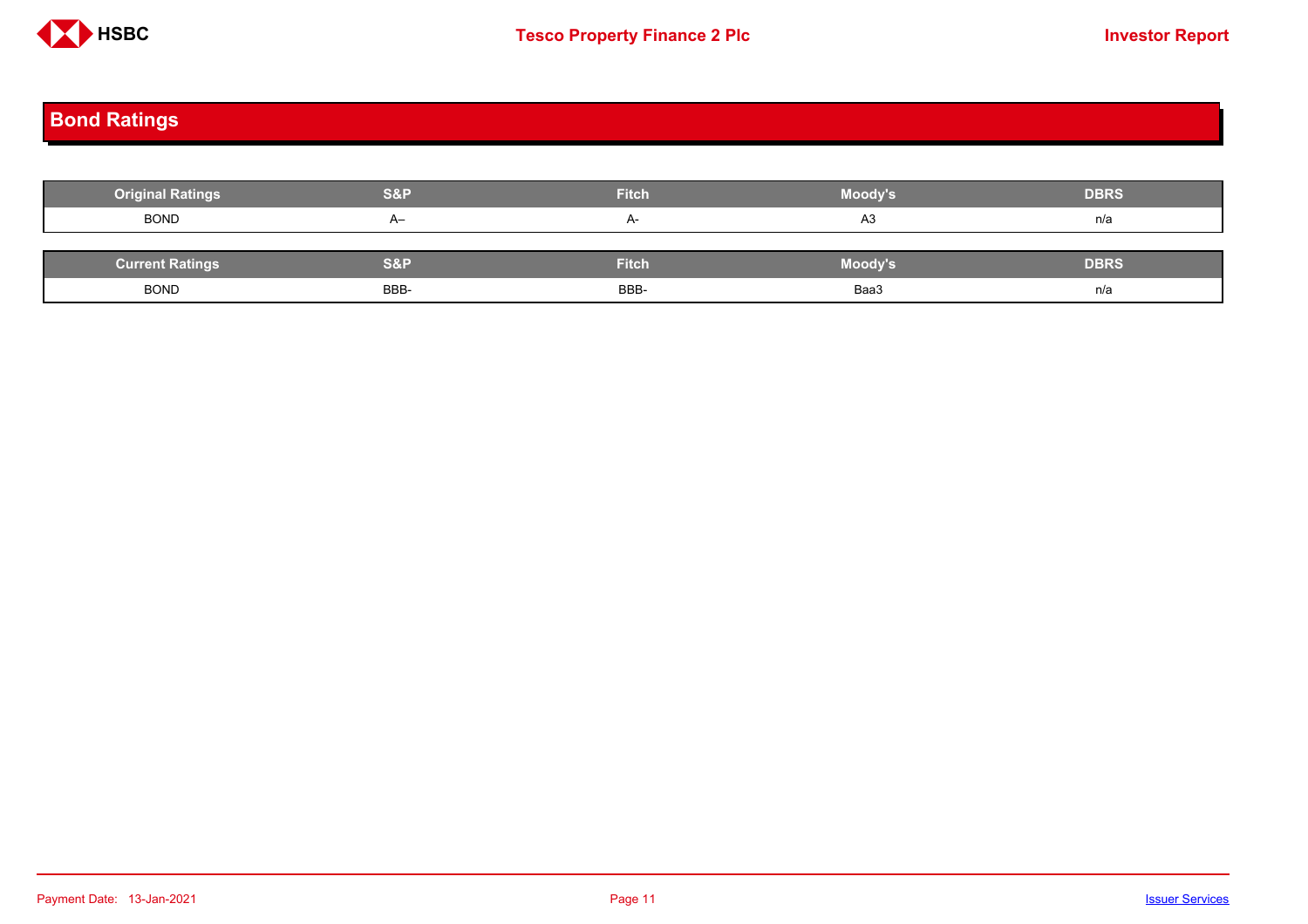

# <span id="page-10-0"></span>**Bond Ratings**

| <b>Original Ratings</b> | <b>S&amp;P</b> | <b>Fitch</b> | Moody's | <b>DBRS</b> |
|-------------------------|----------------|--------------|---------|-------------|
| <b>BOND</b>             | $A-$           | $A-$         | A3      | n/a         |
|                         |                |              |         |             |
| <b>Current Ratings</b>  | S&P            | <b>Fitch</b> | Moody's | <b>DBRS</b> |
| <b>BOND</b>             | BBB-           | BBB-         | Baa3    | n/a         |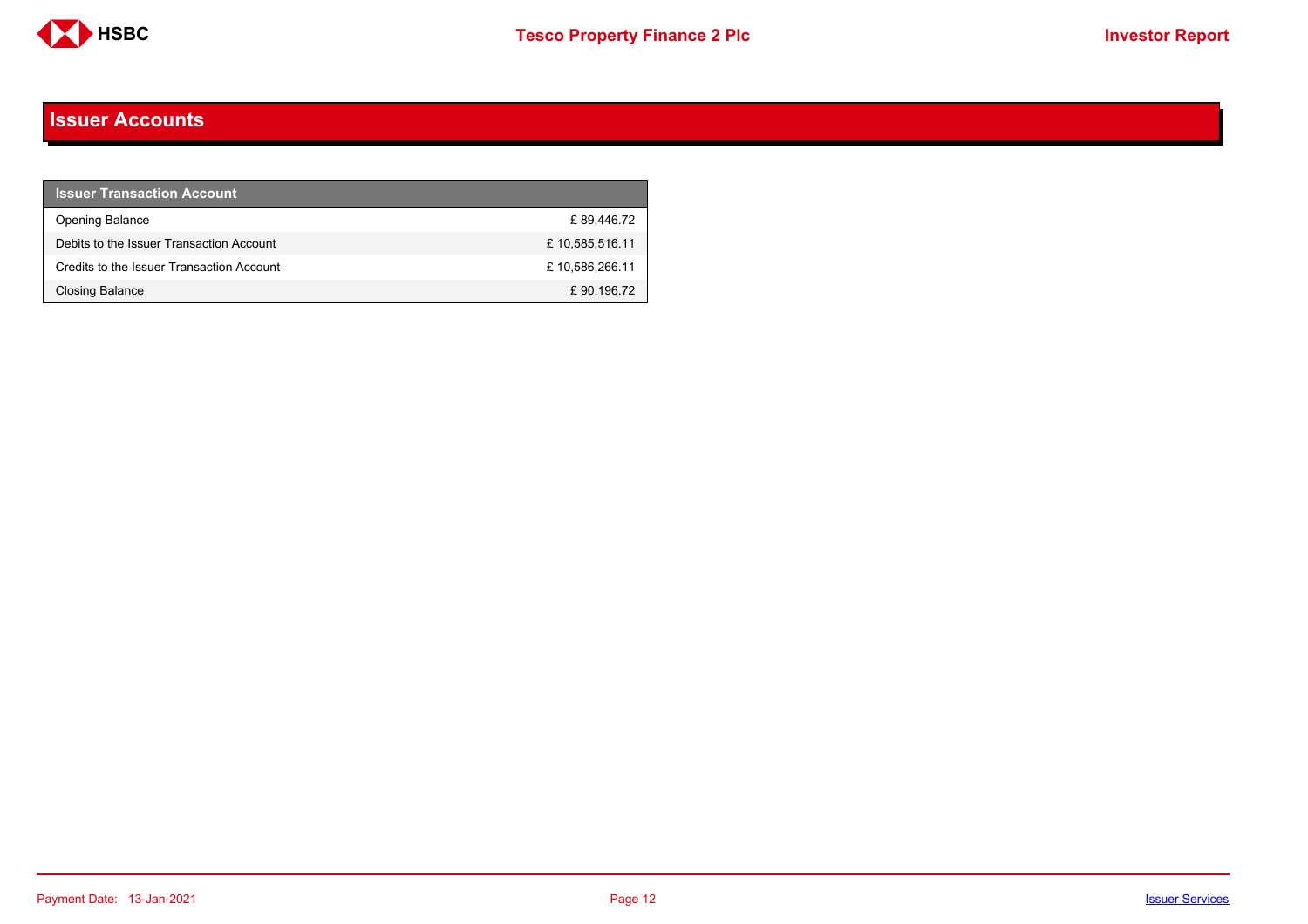

#### <span id="page-11-0"></span>**Issuer Accounts**

| <b>Issuer Transaction Account</b>         |                |
|-------------------------------------------|----------------|
| <b>Opening Balance</b>                    | £89.446.72     |
| Debits to the Issuer Transaction Account  | £10,585,516.11 |
| Credits to the Issuer Transaction Account | £10,586,266.11 |
| Closing Balance                           | £90,196.72     |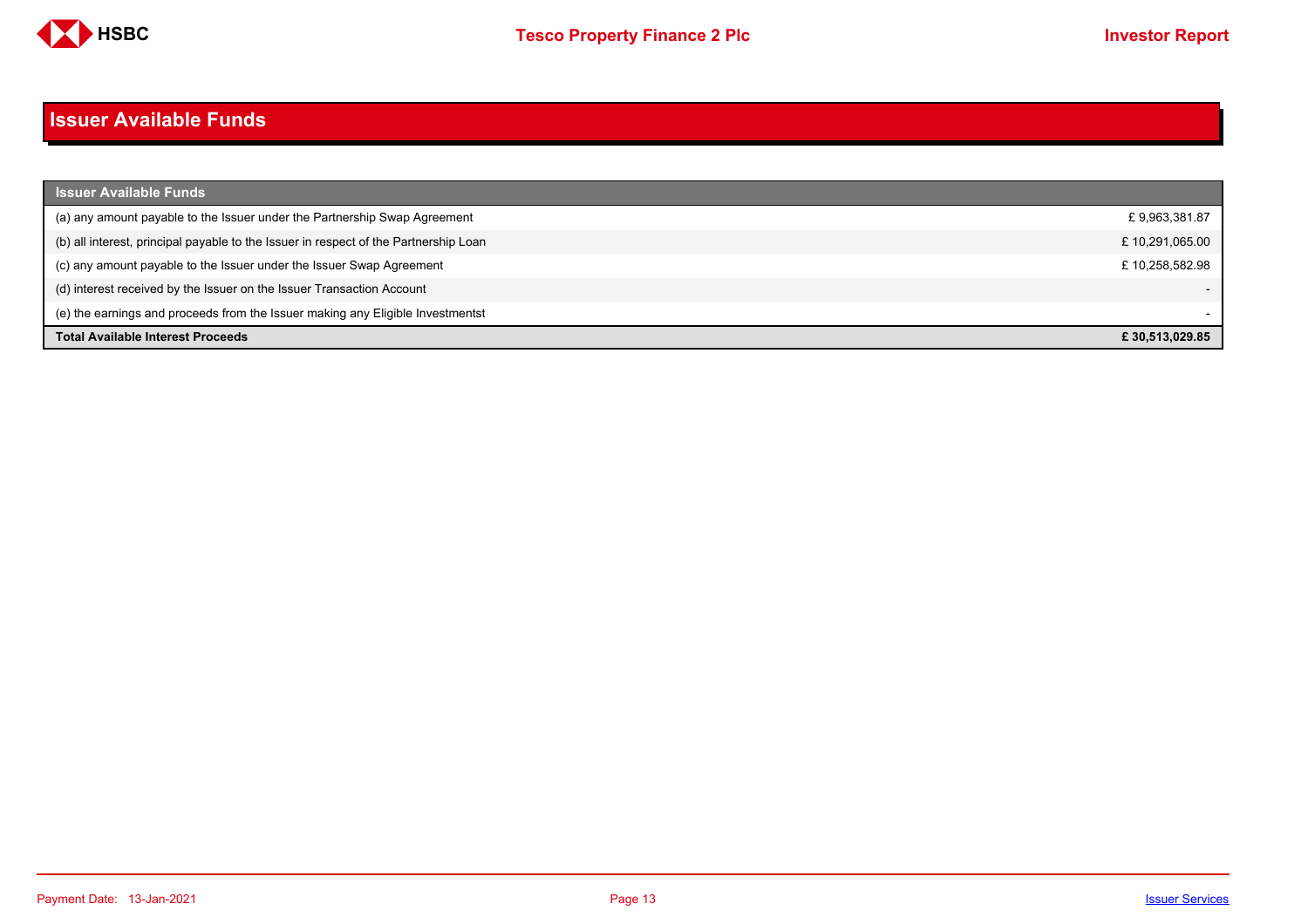

#### <span id="page-12-0"></span>**Issuer Available Funds**

| <b>Issuer Available Funds</b>                                                        |                |
|--------------------------------------------------------------------------------------|----------------|
| (a) any amount payable to the Issuer under the Partnership Swap Agreement            | £9,963,381.87  |
| (b) all interest, principal payable to the Issuer in respect of the Partnership Loan | £10,291,065.00 |
| (c) any amount payable to the Issuer under the Issuer Swap Agreement                 | £10.258.582.98 |
| (d) interest received by the Issuer on the Issuer Transaction Account                |                |
| (e) the earnings and proceeds from the Issuer making any Eligible Investmentst       |                |
| <b>Total Available Interest Proceeds</b>                                             | £30.513.029.85 |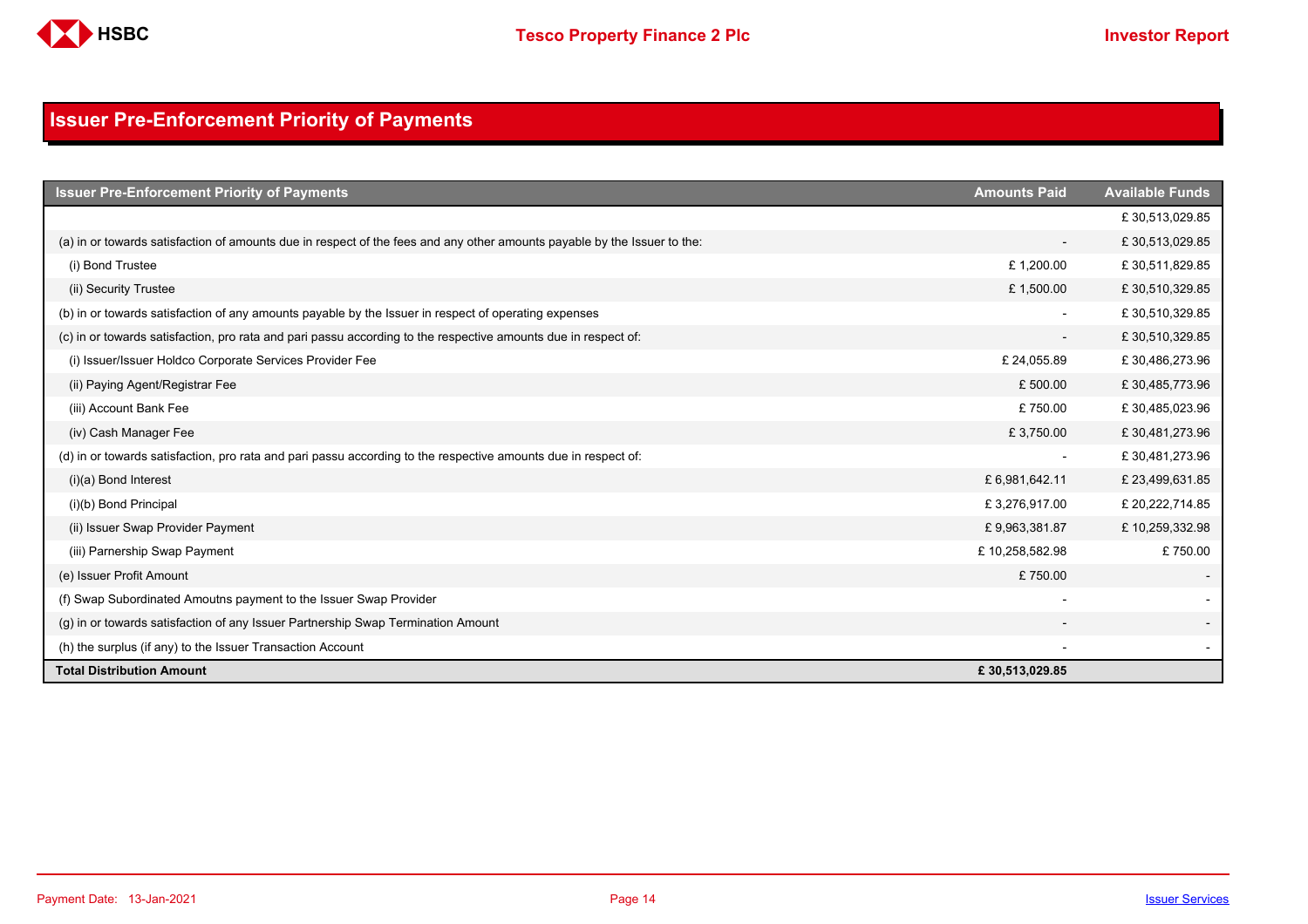

## <span id="page-13-0"></span>**Issuer Pre-Enforcement Priority of Payments**

| <b>Issuer Pre-Enforcement Priority of Payments</b>                                                                       | <b>Amounts Paid</b>      | <b>Available Funds</b> |
|--------------------------------------------------------------------------------------------------------------------------|--------------------------|------------------------|
|                                                                                                                          |                          | £30,513,029.85         |
| (a) in or towards satisfaction of amounts due in respect of the fees and any other amounts payable by the Issuer to the: | $\overline{\phantom{a}}$ | £30,513,029.85         |
| (i) Bond Trustee                                                                                                         | £1,200.00                | £30,511,829.85         |
| (ii) Security Trustee                                                                                                    | £1,500.00                | £30,510,329.85         |
| (b) in or towards satisfaction of any amounts payable by the Issuer in respect of operating expenses                     |                          | £30,510,329.85         |
| (c) in or towards satisfaction, pro rata and pari passu according to the respective amounts due in respect of:           |                          | £30,510,329.85         |
| (i) Issuer/Issuer Holdco Corporate Services Provider Fee                                                                 | £24,055.89               | £30,486,273.96         |
| (ii) Paying Agent/Registrar Fee                                                                                          | £500.00                  | £30,485,773.96         |
| (iii) Account Bank Fee                                                                                                   | £750.00                  | £30,485,023.96         |
| (iv) Cash Manager Fee                                                                                                    | £3,750.00                | £30,481,273.96         |
| (d) in or towards satisfaction, pro rata and pari passu according to the respective amounts due in respect of:           |                          | £30,481,273.96         |
| $(i)(a)$ Bond Interest                                                                                                   | £6,981,642.11            | £23,499,631.85         |
| (i)(b) Bond Principal                                                                                                    | £3,276,917.00            | £ 20,222,714.85        |
| (ii) Issuer Swap Provider Payment                                                                                        | £9,963,381.87            | £10,259,332.98         |
| (iii) Parnership Swap Payment                                                                                            | £10,258,582.98           | £750.00                |
| (e) Issuer Profit Amount                                                                                                 | £750.00                  |                        |
| (f) Swap Subordinated Amoutns payment to the Issuer Swap Provider                                                        |                          |                        |
| (g) in or towards satisfaction of any Issuer Partnership Swap Termination Amount                                         |                          |                        |
| (h) the surplus (if any) to the Issuer Transaction Account                                                               |                          |                        |
| <b>Total Distribution Amount</b>                                                                                         | £30,513,029.85           |                        |